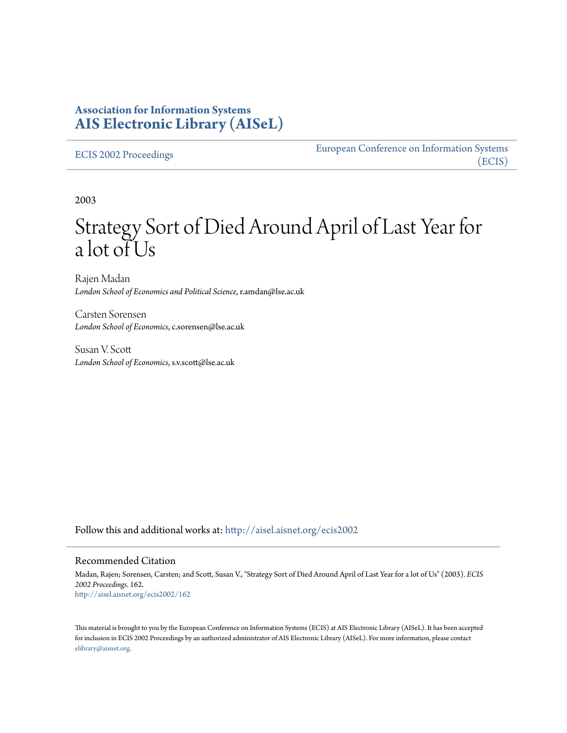### **Association for Information Systems [AIS Electronic Library \(AISeL\)](http://aisel.aisnet.org?utm_source=aisel.aisnet.org%2Fecis2002%2F162&utm_medium=PDF&utm_campaign=PDFCoverPages)**

#### [ECIS 2002 Proceedings](http://aisel.aisnet.org/ecis2002?utm_source=aisel.aisnet.org%2Fecis2002%2F162&utm_medium=PDF&utm_campaign=PDFCoverPages)

[European Conference on Information Systems](http://aisel.aisnet.org/ecis?utm_source=aisel.aisnet.org%2Fecis2002%2F162&utm_medium=PDF&utm_campaign=PDFCoverPages) [\(ECIS\)](http://aisel.aisnet.org/ecis?utm_source=aisel.aisnet.org%2Fecis2002%2F162&utm_medium=PDF&utm_campaign=PDFCoverPages)

2003

# Strategy Sort of Died Around April of Last Year for a lot of Us

Rajen Madan *London School of Economics and Political Science*, r.amdan@lse.ac.uk

Carsten Sorensen *London School of Economics*, c.sorensen@lse.ac.uk

Susan V. Scott *London School of Economics*, s.v.scott@lse.ac.uk

Follow this and additional works at: [http://aisel.aisnet.org/ecis2002](http://aisel.aisnet.org/ecis2002?utm_source=aisel.aisnet.org%2Fecis2002%2F162&utm_medium=PDF&utm_campaign=PDFCoverPages)

#### Recommended Citation

Madan, Rajen; Sorensen, Carsten; and Scott, Susan V., "Strategy Sort of Died Around April of Last Year for a lot of Us" (2003). *ECIS 2002 Proceedings*. 162. [http://aisel.aisnet.org/ecis2002/162](http://aisel.aisnet.org/ecis2002/162?utm_source=aisel.aisnet.org%2Fecis2002%2F162&utm_medium=PDF&utm_campaign=PDFCoverPages)

This material is brought to you by the European Conference on Information Systems (ECIS) at AIS Electronic Library (AISeL). It has been accepted for inclusion in ECIS 2002 Proceedings by an authorized administrator of AIS Electronic Library (AISeL). For more information, please contact [elibrary@aisnet.org.](mailto:elibrary@aisnet.org%3E)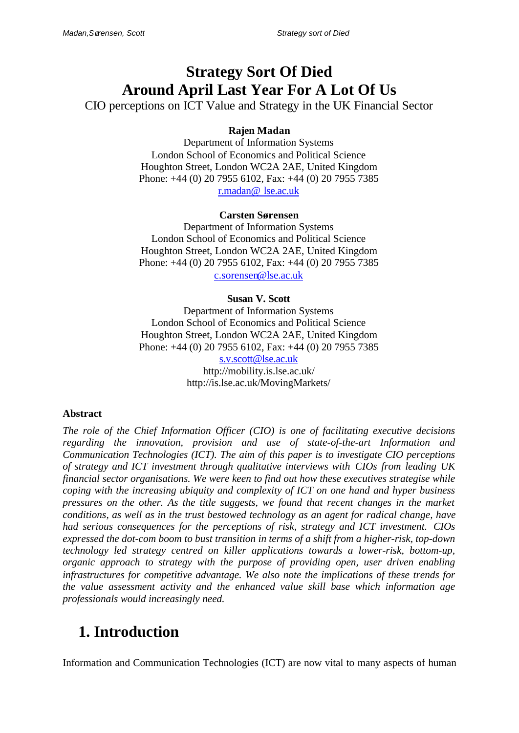## **Strategy Sort Of Died Around April Last Year For A Lot Of Us**

CIO perceptions on ICT Value and Strategy in the UK Financial Sector

### **Rajen Madan**

Department of Information Systems London School of Economics and Political Science Houghton Street, London WC2A 2AE, United Kingdom Phone: +44 (0) 20 7955 6102, Fax: +44 (0) 20 7955 7385 r.madan@ lse.ac.uk

#### **Carsten Sørensen**

Department of Information Systems London School of Economics and Political Science Houghton Street, London WC2A 2AE, United Kingdom Phone: +44 (0) 20 7955 6102, Fax: +44 (0) 20 7955 7385 c.sorensen@lse.ac.uk

#### **Susan V. Scott**

Department of Information Systems London School of Economics and Political Science Houghton Street, London WC2A 2AE, United Kingdom Phone: +44 (0) 20 7955 6102, Fax: +44 (0) 20 7955 7385 s.v.scott@lse.ac.uk http://mobility.is.lse.ac.uk/ http://is.lse.ac.uk/MovingMarkets/

#### **Abstract**

*The role of the Chief Information Officer (CIO) is one of facilitating executive decisions regarding the innovation, provision and use of state-of-the-art Information and Communication Technologies (ICT). The aim of this paper is to investigate CIO perceptions of strategy and ICT investment through qualitative interviews with CIOs from leading UK financial sector organisations. We were keen to find out how these executives strategise while coping with the increasing ubiquity and complexity of ICT on one hand and hyper business pressures on the other. As the title suggests, we found that recent changes in the market conditions, as well as in the trust bestowed technology as an agent for radical change, have had serious consequences for the perceptions of risk, strategy and ICT investment. CIOs expressed the dot-com boom to bust transition in terms of a shift from a higher-risk, top-down technology led strategy centred on killer applications towards a lower-risk, bottom-up, organic approach to strategy with the purpose of providing open, user driven enabling infrastructures for competitive advantage. We also note the implications of these trends for the value assessment activity and the enhanced value skill base which information age professionals would increasingly need.*

## **1. Introduction**

Information and Communication Technologies (ICT) are now vital to many aspects of human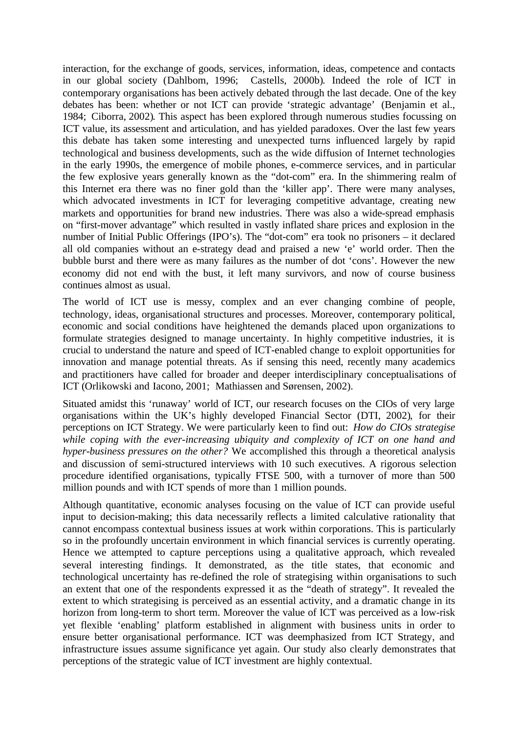interaction, for the exchange of goods, services, information, ideas, competence and contacts in our global society (Dahlbom, 1996; Castells, 2000b). Indeed the role of ICT in contemporary organisations has been actively debated through the last decade. One of the key debates has been: whether or not ICT can provide 'strategic advantage' (Benjamin et al., 1984; Ciborra, 2002). This aspect has been explored through numerous studies focussing on ICT value, its assessment and articulation, and has yielded paradoxes. Over the last few years this debate has taken some interesting and unexpected turns influenced largely by rapid technological and business developments, such as the wide diffusion of Internet technologies in the early 1990s, the emergence of mobile phones, e-commerce services, and in particular the few explosive years generally known as the "dot-com" era. In the shimmering realm of this Internet era there was no finer gold than the 'killer app'. There were many analyses, which advocated investments in ICT for leveraging competitive advantage, creating new markets and opportunities for brand new industries. There was also a wide-spread emphasis on "first-mover advantage" which resulted in vastly inflated share prices and explosion in the number of Initial Public Offerings (IPO's). The "dot-com" era took no prisoners – it declared all old companies without an e-strategy dead and praised a new 'e' world order. Then the bubble burst and there were as many failures as the number of dot 'cons'. However the new economy did not end with the bust, it left many survivors, and now of course business continues almost as usual.

The world of ICT use is messy, complex and an ever changing combine of people, technology, ideas, organisational structures and processes. Moreover, contemporary political, economic and social conditions have heightened the demands placed upon organizations to formulate strategies designed to manage uncertainty. In highly competitive industries, it is crucial to understand the nature and speed of ICT-enabled change to exploit opportunities for innovation and manage potential threats. As if sensing this need, recently many academics and practitioners have called for broader and deeper interdisciplinary conceptualisations of ICT (Orlikowski and Iacono, 2001; Mathiassen and Sørensen, 2002).

Situated amidst this 'runaway' world of ICT, our research focuses on the CIOs of very large organisations within the UK's highly developed Financial Sector (DTI, 2002), for their perceptions on ICT Strategy. We were particularly keen to find out: *How do CIOs strategise while coping with the ever-increasing ubiquity and complexity of ICT on one hand and hyper-business pressures on the other?* We accomplished this through a theoretical analysis and discussion of semi-structured interviews with 10 such executives. A rigorous selection procedure identified organisations, typically FTSE 500, with a turnover of more than 500 million pounds and with ICT spends of more than 1 million pounds.

Although quantitative, economic analyses focusing on the value of ICT can provide useful input to decision-making; this data necessarily reflects a limited calculative rationality that cannot encompass contextual business issues at work within corporations. This is particularly so in the profoundly uncertain environment in which financial services is currently operating. Hence we attempted to capture perceptions using a qualitative approach, which revealed several interesting findings. It demonstrated, as the title states, that economic and technological uncertainty has re-defined the role of strategising within organisations to such an extent that one of the respondents expressed it as the "death of strategy". It revealed the extent to which strategising is perceived as an essential activity, and a dramatic change in its horizon from long-term to short term. Moreover the value of ICT was perceived as a low-risk yet flexible 'enabling' platform established in alignment with business units in order to ensure better organisational performance. ICT was deemphasized from ICT Strategy, and infrastructure issues assume significance yet again. Our study also clearly demonstrates that perceptions of the strategic value of ICT investment are highly contextual.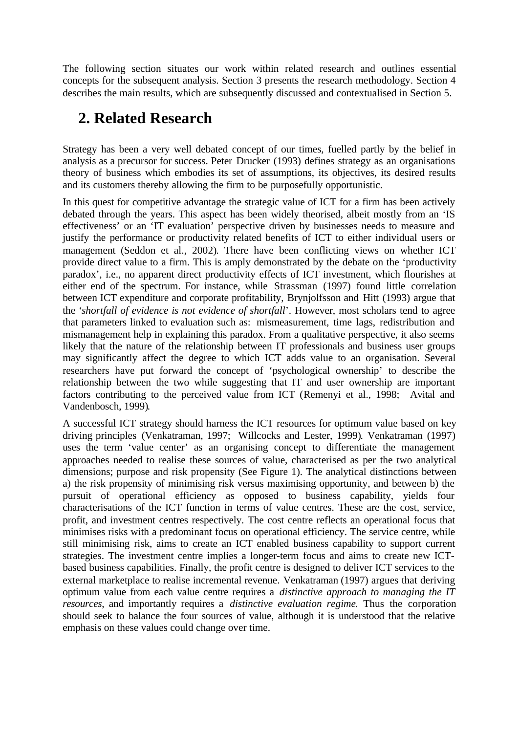The following section situates our work within related research and outlines essential concepts for the subsequent analysis. Section 3 presents the research methodology. Section 4 describes the main results, which are subsequently discussed and contextualised in Section 5.

## **2. Related Research**

Strategy has been a very well debated concept of our times, fuelled partly by the belief in analysis as a precursor for success. Peter Drucker (1993) defines strategy as an organisations theory of business which embodies its set of assumptions, its objectives, its desired results and its customers thereby allowing the firm to be purposefully opportunistic.

In this quest for competitive advantage the strategic value of ICT for a firm has been actively debated through the years. This aspect has been widely theorised, albeit mostly from an 'IS effectiveness' or an 'IT evaluation' perspective driven by businesses needs to measure and justify the performance or productivity related benefits of ICT to either individual users or management (Seddon et al., 2002). There have been conflicting views on whether ICT provide direct value to a firm. This is amply demonstrated by the debate on the 'productivity paradox', i.e., no apparent direct productivity effects of ICT investment, which flourishes at either end of the spectrum. For instance, while Strassman (1997) found little correlation between ICT expenditure and corporate profitability, Brynjolfsson and Hitt (1993) argue that the '*shortfall of evidence is not evidence of shortfall*'. However, most scholars tend to agree that parameters linked to evaluation such as: mismeasurement, time lags, redistribution and mismanagement help in explaining this paradox. From a qualitative perspective, it also seems likely that the nature of the relationship between IT professionals and business user groups may significantly affect the degree to which ICT adds value to an organisation. Several researchers have put forward the concept of 'psychological ownership' to describe the relationship between the two while suggesting that IT and user ownership are important factors contributing to the perceived value from ICT (Remenyi et al., 1998; Avital and Vandenbosch, 1999).

A successful ICT strategy should harness the ICT resources for optimum value based on key driving principles (Venkatraman, 1997; Willcocks and Lester, 1999). Venkatraman (1997) uses the term 'value center' as an organising concept to differentiate the management approaches needed to realise these sources of value, characterised as per the two analytical dimensions; purpose and risk propensity (See Figure 1). The analytical distinctions between a) the risk propensity of minimising risk versus maximising opportunity, and between b) the pursuit of operational efficiency as opposed to business capability, yields four characterisations of the ICT function in terms of value centres. These are the cost, service, profit, and investment centres respectively. The cost centre reflects an operational focus that minimises risks with a predominant focus on operational efficiency. The service centre, while still minimising risk, aims to create an ICT enabled business capability to support current strategies. The investment centre implies a longer-term focus and aims to create new ICTbased business capabilities. Finally, the profit centre is designed to deliver ICT services to the external marketplace to realise incremental revenue. Venkatraman (1997) argues that deriving optimum value from each value centre requires a *distinctive approach to managing the IT resources*, and importantly requires a *distinctive evaluation regime*. Thus the corporation should seek to balance the four sources of value, although it is understood that the relative emphasis on these values could change over time.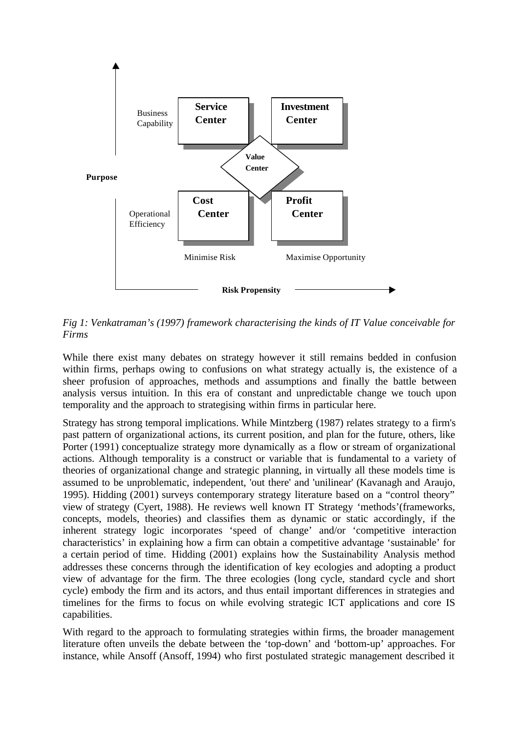

*Fig 1: Venkatraman's (1997) framework characterising the kinds of IT Value conceivable for Firms*

While there exist many debates on strategy however it still remains bedded in confusion within firms, perhaps owing to confusions on what strategy actually is, the existence of a sheer profusion of approaches, methods and assumptions and finally the battle between analysis versus intuition. In this era of constant and unpredictable change we touch upon temporality and the approach to strategising within firms in particular here.

Strategy has strong temporal implications. While Mintzberg (1987) relates strategy to a firm's past pattern of organizational actions, its current position, and plan for the future, others, like Porter (1991) conceptualize strategy more dynamically as a flow or stream of organizational actions. Although temporality is a construct or variable that is fundamental to a variety of theories of organizational change and strategic planning, in virtually all these models time is assumed to be unproblematic, independent, 'out there' and 'unilinear' (Kavanagh and Araujo, 1995). Hidding (2001) surveys contemporary strategy literature based on a "control theory" view of strategy (Cyert, 1988). He reviews well known IT Strategy 'methods'(frameworks, concepts, models, theories) and classifies them as dynamic or static accordingly, if the inherent strategy logic incorporates 'speed of change' and/or 'competitive interaction characteristics' in explaining how a firm can obtain a competitive advantage 'sustainable' for a certain period of time. Hidding (2001) explains how the Sustainability Analysis method addresses these concerns through the identification of key ecologies and adopting a product view of advantage for the firm. The three ecologies (long cycle, standard cycle and short cycle) embody the firm and its actors, and thus entail important differences in strategies and timelines for the firms to focus on while evolving strategic ICT applications and core IS capabilities.

With regard to the approach to formulating strategies within firms, the broader management literature often unveils the debate between the 'top-down' and 'bottom-up' approaches. For instance, while Ansoff (Ansoff, 1994) who first postulated strategic management described it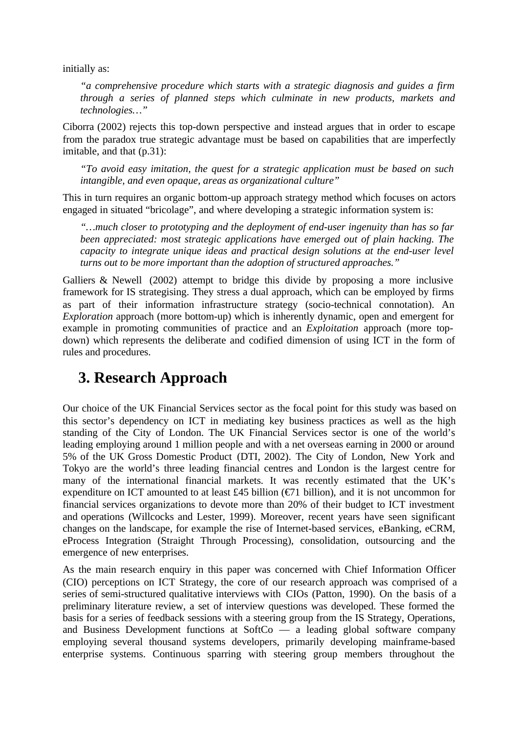initially as:

*"a comprehensive procedure which starts with a strategic diagnosis and guides a firm through a series of planned steps which culminate in new products, markets and technologies…"*

Ciborra (2002) rejects this top-down perspective and instead argues that in order to escape from the paradox true strategic advantage must be based on capabilities that are imperfectly imitable, and that (p.31):

*"To avoid easy imitation, the quest for a strategic application must be based on such intangible, and even opaque, areas as organizational culture"*

This in turn requires an organic bottom-up approach strategy method which focuses on actors engaged in situated "bricolage", and where developing a strategic information system is:

*"…much closer to prototyping and the deployment of end-user ingenuity than has so far been appreciated: most strategic applications have emerged out of plain hacking. The capacity to integrate unique ideas and practical design solutions at the end-user level turns out to be more important than the adoption of structured approaches."*

Galliers & Newell (2002) attempt to bridge this divide by proposing a more inclusive framework for IS strategising. They stress a dual approach, which can be employed by firms as part of their information infrastructure strategy (socio-technical connotation). An *Exploration* approach (more bottom-up) which is inherently dynamic, open and emergent for example in promoting communities of practice and an *Exploitation* approach (more topdown) which represents the deliberate and codified dimension of using ICT in the form of rules and procedures.

## **3. Research Approach**

Our choice of the UK Financial Services sector as the focal point for this study was based on this sector's dependency on ICT in mediating key business practices as well as the high standing of the City of London. The UK Financial Services sector is one of the world's leading employing around 1 million people and with a net overseas earning in 2000 or around 5% of the UK Gross Domestic Product (DTI, 2002). The City of London, New York and Tokyo are the world's three leading financial centres and London is the largest centre for many of the international financial markets. It was recently estimated that the UK's expenditure on ICT amounted to at least £45 billion ( $\epsilon$ 71 billion), and it is not uncommon for financial services organizations to devote more than 20% of their budget to ICT investment and operations (Willcocks and Lester, 1999). Moreover, recent years have seen significant changes on the landscape, for example the rise of Internet-based services, eBanking, eCRM, eProcess Integration (Straight Through Processing), consolidation, outsourcing and the emergence of new enterprises.

As the main research enquiry in this paper was concerned with Chief Information Officer (CIO) perceptions on ICT Strategy, the core of our research approach was comprised of a series of semi-structured qualitative interviews with CIOs (Patton, 1990). On the basis of a preliminary literature review, a set of interview questions was developed. These formed the basis for a series of feedback sessions with a steering group from the IS Strategy, Operations, and Business Development functions at SoftCo — a leading global software company employing several thousand systems developers, primarily developing mainframe-based enterprise systems. Continuous sparring with steering group members throughout the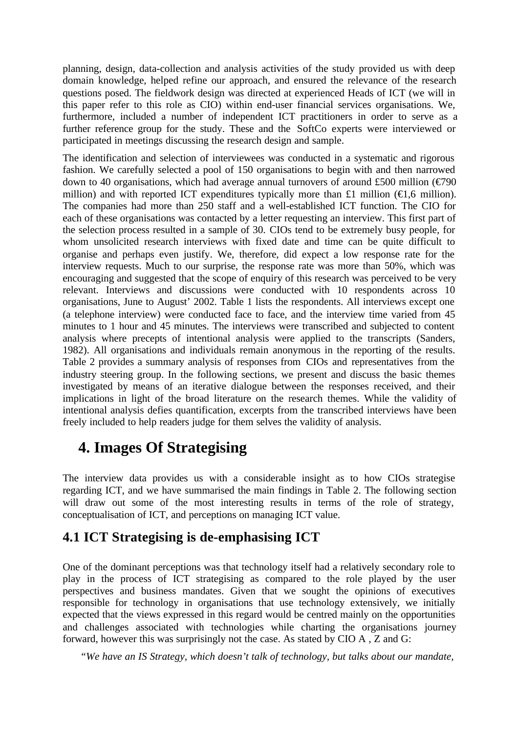planning, design, data-collection and analysis activities of the study provided us with deep domain knowledge, helped refine our approach, and ensured the relevance of the research questions posed. The fieldwork design was directed at experienced Heads of ICT (we will in this paper refer to this role as CIO) within end-user financial services organisations. We, furthermore, included a number of independent ICT practitioners in order to serve as a further reference group for the study. These and the SoftCo experts were interviewed or participated in meetings discussing the research design and sample.

The identification and selection of interviewees was conducted in a systematic and rigorous fashion. We carefully selected a pool of 150 organisations to begin with and then narrowed down to 40 organisations, which had average annual turnovers of around £500 million ( $\epsilon$ 790 million) and with reported ICT expenditures typically more than £1 million ( $\in$ 1,6 million). The companies had more than 250 staff and a well-established ICT function. The CIO for each of these organisations was contacted by a letter requesting an interview. This first part of the selection process resulted in a sample of 30. CIOs tend to be extremely busy people, for whom unsolicited research interviews with fixed date and time can be quite difficult to organise and perhaps even justify. We, therefore, did expect a low response rate for the interview requests. Much to our surprise, the response rate was more than 50%, which was encouraging and suggested that the scope of enquiry of this research was perceived to be very relevant. Interviews and discussions were conducted with 10 respondents across 10 organisations, June to August' 2002. Table 1 lists the respondents. All interviews except one (a telephone interview) were conducted face to face, and the interview time varied from 45 minutes to 1 hour and 45 minutes. The interviews were transcribed and subjected to content analysis where precepts of intentional analysis were applied to the transcripts (Sanders, 1982). All organisations and individuals remain anonymous in the reporting of the results. Table 2 provides a summary analysis of responses from CIOs and representatives from the industry steering group. In the following sections, we present and discuss the basic themes investigated by means of an iterative dialogue between the responses received, and their implications in light of the broad literature on the research themes. While the validity of intentional analysis defies quantification, excerpts from the transcribed interviews have been freely included to help readers judge for them selves the validity of analysis.

## **4. Images Of Strategising**

The interview data provides us with a considerable insight as to how CIOs strategise regarding ICT, and we have summarised the main findings in Table 2. The following section will draw out some of the most interesting results in terms of the role of strategy, conceptualisation of ICT, and perceptions on managing ICT value.

## **4.1 ICT Strategising is de-emphasising ICT**

One of the dominant perceptions was that technology itself had a relatively secondary role to play in the process of ICT strategising as compared to the role played by the user perspectives and business mandates. Given that we sought the opinions of executives responsible for technology in organisations that use technology extensively, we initially expected that the views expressed in this regard would be centred mainly on the opportunities and challenges associated with technologies while charting the organisations journey forward, however this was surprisingly not the case. As stated by CIO A , Z and G:

*"We have an IS Strategy, which doesn't talk of technology, but talks about our mandate,*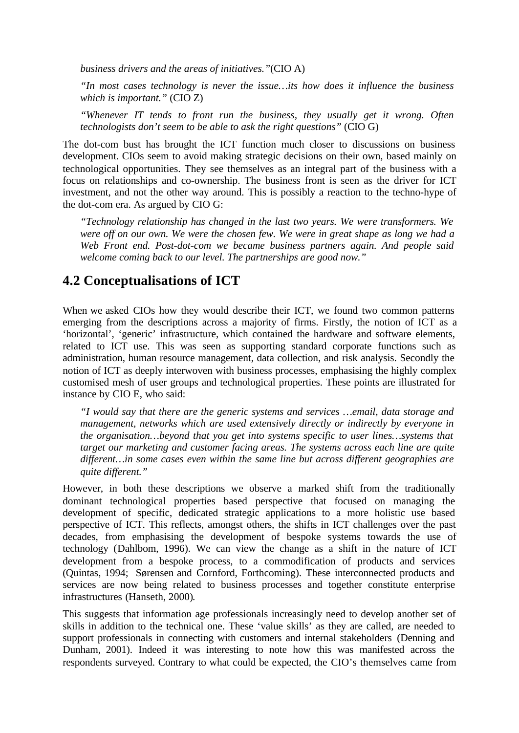*business drivers and the areas of initiatives."*(CIO A)

*"In most cases technology is never the issue…its how does it influence the business which is important."* (CIO Z)

*"Whenever IT tends to front run the business, they usually get it wrong. Often technologists don't seem to be able to ask the right questions"* (CIO G)

The dot-com bust has brought the ICT function much closer to discussions on business development. CIOs seem to avoid making strategic decisions on their own, based mainly on technological opportunities. They see themselves as an integral part of the business with a focus on relationships and co-ownership. The business front is seen as the driver for ICT investment, and not the other way around. This is possibly a reaction to the techno-hype of the dot-com era. As argued by CIO G:

*"Technology relationship has changed in the last two years. We were transformers. We were off on our own. We were the chosen few. We were in great shape as long we had a Web Front end. Post-dot-com we became business partners again. And people said welcome coming back to our level. The partnerships are good now."*

### **4.2 Conceptualisations of ICT**

When we asked CIOs how they would describe their ICT, we found two common patterns emerging from the descriptions across a majority of firms. Firstly, the notion of ICT as a 'horizontal', 'generic' infrastructure, which contained the hardware and software elements, related to ICT use. This was seen as supporting standard corporate functions such as administration, human resource management, data collection, and risk analysis. Secondly the notion of ICT as deeply interwoven with business processes, emphasising the highly complex customised mesh of user groups and technological properties. These points are illustrated for instance by CIO E, who said:

*"I would say that there are the generic systems and services …email, data storage and management, networks which are used extensively directly or indirectly by everyone in the organisation…beyond that you get into systems specific to user lines…systems that target our marketing and customer facing areas. The systems across each line are quite different…in some cases even within the same line but across different geographies are quite different."*

However, in both these descriptions we observe a marked shift from the traditionally dominant technological properties based perspective that focused on managing the development of specific, dedicated strategic applications to a more holistic use based perspective of ICT. This reflects, amongst others, the shifts in ICT challenges over the past decades, from emphasising the development of bespoke systems towards the use of technology (Dahlbom, 1996). We can view the change as a shift in the nature of ICT development from a bespoke process, to a commodification of products and services (Quintas, 1994; Sørensen and Cornford, Forthcoming). These interconnected products and services are now being related to business processes and together constitute enterprise infrastructures (Hanseth, 2000).

This suggests that information age professionals increasingly need to develop another set of skills in addition to the technical one. These 'value skills' as they are called, are needed to support professionals in connecting with customers and internal stakeholders (Denning and Dunham, 2001). Indeed it was interesting to note how this was manifested across the respondents surveyed. Contrary to what could be expected, the CIO's themselves came from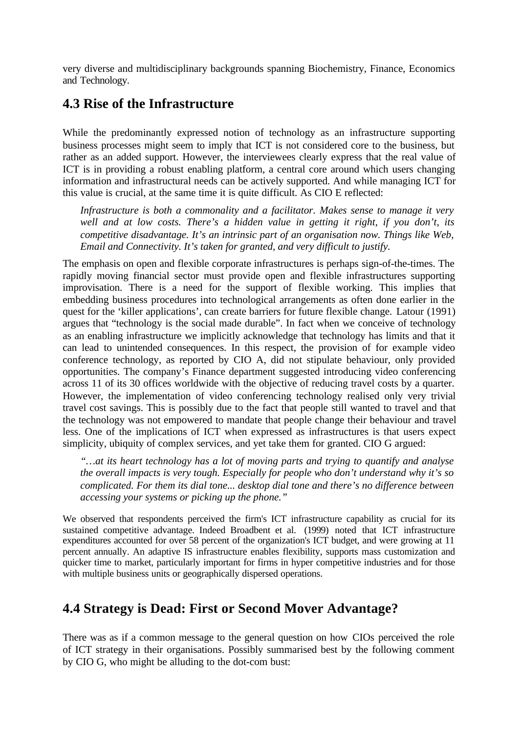very diverse and multidisciplinary backgrounds spanning Biochemistry, Finance, Economics and Technology.

### **4.3 Rise of the Infrastructure**

While the predominantly expressed notion of technology as an infrastructure supporting business processes might seem to imply that ICT is not considered core to the business, but rather as an added support. However, the interviewees clearly express that the real value of ICT is in providing a robust enabling platform, a central core around which users changing information and infrastructural needs can be actively supported. And while managing ICT for this value is crucial, at the same time it is quite difficult. As CIO E reflected:

*Infrastructure is both a commonality and a facilitator. Makes sense to manage it very well and at low costs. There's a hidden value in getting it right, if you don't, its competitive disadvantage. It's an intrinsic part of an organisation now. Things like Web, Email and Connectivity. It's taken for granted, and very difficult to justify.*

The emphasis on open and flexible corporate infrastructures is perhaps sign-of-the-times. The rapidly moving financial sector must provide open and flexible infrastructures supporting improvisation. There is a need for the support of flexible working. This implies that embedding business procedures into technological arrangements as often done earlier in the quest for the 'killer applications', can create barriers for future flexible change. Latour (1991) argues that "technology is the social made durable". In fact when we conceive of technology as an enabling infrastructure we implicitly acknowledge that technology has limits and that it can lead to unintended consequences. In this respect, the provision of for example video conference technology, as reported by CIO A, did not stipulate behaviour, only provided opportunities. The company's Finance department suggested introducing video conferencing across 11 of its 30 offices worldwide with the objective of reducing travel costs by a quarter. However, the implementation of video conferencing technology realised only very trivial travel cost savings. This is possibly due to the fact that people still wanted to travel and that the technology was not empowered to mandate that people change their behaviour and travel less. One of the implications of ICT when expressed as infrastructures is that users expect simplicity, ubiquity of complex services, and yet take them for granted. CIO G argued:

*"…at its heart technology has a lot of moving parts and trying to quantify and analyse the overall impacts is very tough. Especially for people who don't understand why it's so complicated. For them its dial tone... desktop dial tone and there's no difference between accessing your systems or picking up the phone."*

We observed that respondents perceived the firm's ICT infrastructure capability as crucial for its sustained competitive advantage. Indeed Broadbent et al. (1999) noted that ICT infrastructure expenditures accounted for over 58 percent of the organization's ICT budget, and were growing at 11 percent annually. An adaptive IS infrastructure enables flexibility, supports mass customization and quicker time to market, particularly important for firms in hyper competitive industries and for those with multiple business units or geographically dispersed operations.

### **4.4 Strategy is Dead: First or Second Mover Advantage?**

There was as if a common message to the general question on how CIOs perceived the role of ICT strategy in their organisations. Possibly summarised best by the following comment by CIO G, who might be alluding to the dot-com bust: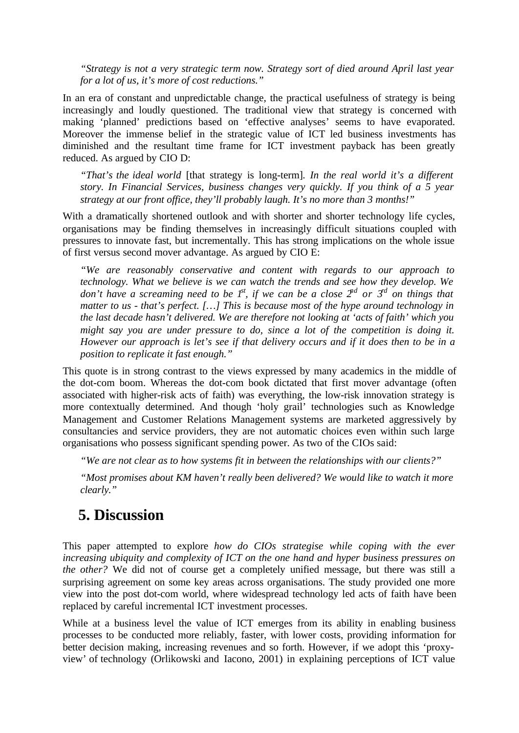*"Strategy is not a very strategic term now. Strategy sort of died around April last year for a lot of us, it's more of cost reductions."*

In an era of constant and unpredictable change, the practical usefulness of strategy is being increasingly and loudly questioned. The traditional view that strategy is concerned with making 'planned' predictions based on 'effective analyses' seems to have evaporated. Moreover the immense belief in the strategic value of ICT led business investments has diminished and the resultant time frame for ICT investment payback has been greatly reduced. As argued by CIO D:

*"That's the ideal world* [that strategy is long-term]*. In the real world it's a different story. In Financial Services, business changes very quickly. If you think of a 5 year strategy at our front office, they'll probably laugh. It's no more than 3 months!"*

With a dramatically shortened outlook and with shorter and shorter technology life cycles, organisations may be finding themselves in increasingly difficult situations coupled with pressures to innovate fast, but incrementally. This has strong implications on the whole issue of first versus second mover advantage. As argued by CIO E:

*"We are reasonably conservative and content with regards to our approach to technology. What we believe is we can watch the trends and see how they develop. We don't have a screaming need to be*  $I^{\text{st}}$ *, if we can be a close*  $2^{\text{nd}}$  *or*  $3^{\text{rd}}$  *on things that matter to us - that's perfect. […] This is because most of the hype around technology in the last decade hasn't delivered. We are therefore not looking at 'acts of faith' which you might say you are under pressure to do, since a lot of the competition is doing it. However our approach is let's see if that delivery occurs and if it does then to be in a position to replicate it fast enough."*

This quote is in strong contrast to the views expressed by many academics in the middle of the dot-com boom. Whereas the dot-com book dictated that first mover advantage (often associated with higher-risk acts of faith) was everything, the low-risk innovation strategy is more contextually determined. And though 'holy grail' technologies such as Knowledge Management and Customer Relations Management systems are marketed aggressively by consultancies and service providers, they are not automatic choices even within such large organisations who possess significant spending power. As two of the CIOs said:

*"We are not clear as to how systems fit in between the relationships with our clients?"*

*"Most promises about KM haven't really been delivered? We would like to watch it more clearly."*

### **5. Discussion**

This paper attempted to explore *how do CIOs strategise while coping with the ever increasing ubiquity and complexity of ICT on the one hand and hyper business pressures on the other?* We did not of course get a completely unified message, but there was still a surprising agreement on some key areas across organisations. The study provided one more view into the post dot-com world, where widespread technology led acts of faith have been replaced by careful incremental ICT investment processes.

While at a business level the value of ICT emerges from its ability in enabling business processes to be conducted more reliably, faster, with lower costs, providing information for better decision making, increasing revenues and so forth. However, if we adopt this 'proxyview' of technology (Orlikowski and Iacono, 2001) in explaining perceptions of ICT value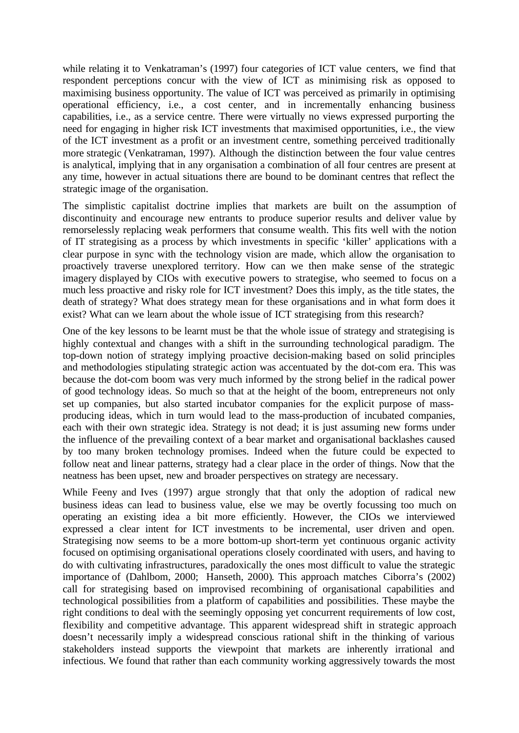while relating it to Venkatraman's (1997) four categories of ICT value centers, we find that respondent perceptions concur with the view of ICT as minimising risk as opposed to maximising business opportunity. The value of ICT was perceived as primarily in optimising operational efficiency, i.e., a cost center, and in incrementally enhancing business capabilities, i.e., as a service centre. There were virtually no views expressed purporting the need for engaging in higher risk ICT investments that maximised opportunities, i.e., the view of the ICT investment as a profit or an investment centre, something perceived traditionally more strategic (Venkatraman, 1997). Although the distinction between the four value centres is analytical, implying that in any organisation a combination of all four centres are present at any time, however in actual situations there are bound to be dominant centres that reflect the strategic image of the organisation.

The simplistic capitalist doctrine implies that markets are built on the assumption of discontinuity and encourage new entrants to produce superior results and deliver value by remorselessly replacing weak performers that consume wealth. This fits well with the notion of IT strategising as a process by which investments in specific 'killer' applications with a clear purpose in sync with the technology vision are made, which allow the organisation to proactively traverse unexplored territory. How can we then make sense of the strategic imagery displayed by CIOs with executive powers to strategise, who seemed to focus on a much less proactive and risky role for ICT investment? Does this imply, as the title states, the death of strategy? What does strategy mean for these organisations and in what form does it exist? What can we learn about the whole issue of ICT strategising from this research?

One of the key lessons to be learnt must be that the whole issue of strategy and strategising is highly contextual and changes with a shift in the surrounding technological paradigm. The top-down notion of strategy implying proactive decision-making based on solid principles and methodologies stipulating strategic action was accentuated by the dot-com era. This was because the dot-com boom was very much informed by the strong belief in the radical power of good technology ideas. So much so that at the height of the boom, entrepreneurs not only set up companies, but also started incubator companies for the explicit purpose of massproducing ideas, which in turn would lead to the mass-production of incubated companies, each with their own strategic idea. Strategy is not dead; it is just assuming new forms under the influence of the prevailing context of a bear market and organisational backlashes caused by too many broken technology promises. Indeed when the future could be expected to follow neat and linear patterns, strategy had a clear place in the order of things. Now that the neatness has been upset, new and broader perspectives on strategy are necessary.

While Feeny and Ives (1997) argue strongly that that only the adoption of radical new business ideas can lead to business value, else we may be overtly focussing too much on operating an existing idea a bit more efficiently. However, the CIOs we interviewed expressed a clear intent for ICT investments to be incremental, user driven and open. Strategising now seems to be a more bottom-up short-term yet continuous organic activity focused on optimising organisational operations closely coordinated with users, and having to do with cultivating infrastructures, paradoxically the ones most difficult to value the strategic importance of (Dahlbom, 2000; Hanseth, 2000). This approach matches Ciborra's (2002) call for strategising based on improvised recombining of organisational capabilities and technological possibilities from a platform of capabilities and possibilities. These maybe the right conditions to deal with the seemingly opposing yet concurrent requirements of low cost, flexibility and competitive advantage. This apparent widespread shift in strategic approach doesn't necessarily imply a widespread conscious rational shift in the thinking of various stakeholders instead supports the viewpoint that markets are inherently irrational and infectious. We found that rather than each community working aggressively towards the most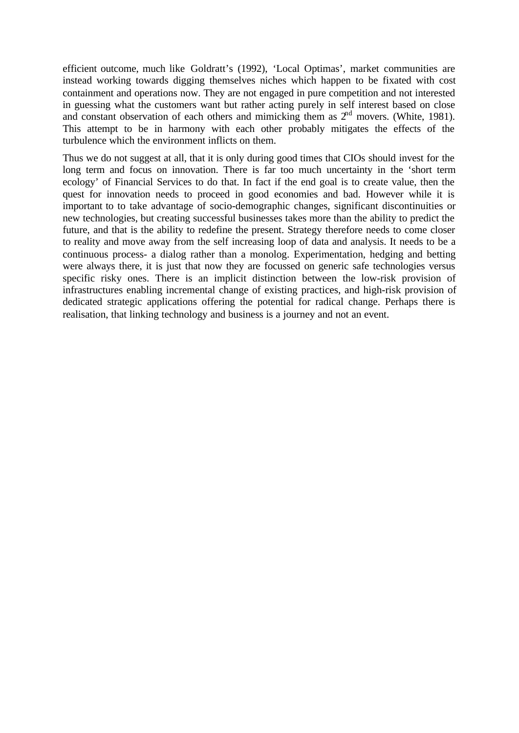efficient outcome, much like Goldratt's (1992), 'Local Optimas', market communities are instead working towards digging themselves niches which happen to be fixated with cost containment and operations now. They are not engaged in pure competition and not interested in guessing what the customers want but rather acting purely in self interest based on close and constant observation of each others and mimicking them as  $2<sup>nd</sup>$  movers. (White, 1981). This attempt to be in harmony with each other probably mitigates the effects of the turbulence which the environment inflicts on them.

Thus we do not suggest at all, that it is only during good times that CIOs should invest for the long term and focus on innovation. There is far too much uncertainty in the 'short term ecology' of Financial Services to do that. In fact if the end goal is to create value, then the quest for innovation needs to proceed in good economies and bad. However while it is important to to take advantage of socio-demographic changes, significant discontinuities or new technologies, but creating successful businesses takes more than the ability to predict the future, and that is the ability to redefine the present. Strategy therefore needs to come closer to reality and move away from the self increasing loop of data and analysis. It needs to be a continuous process- a dialog rather than a monolog. Experimentation, hedging and betting were always there, it is just that now they are focussed on generic safe technologies versus specific risky ones. There is an implicit distinction between the low-risk provision of infrastructures enabling incremental change of existing practices, and high-risk provision of dedicated strategic applications offering the potential for radical change. Perhaps there is realisation, that linking technology and business is a journey and not an event.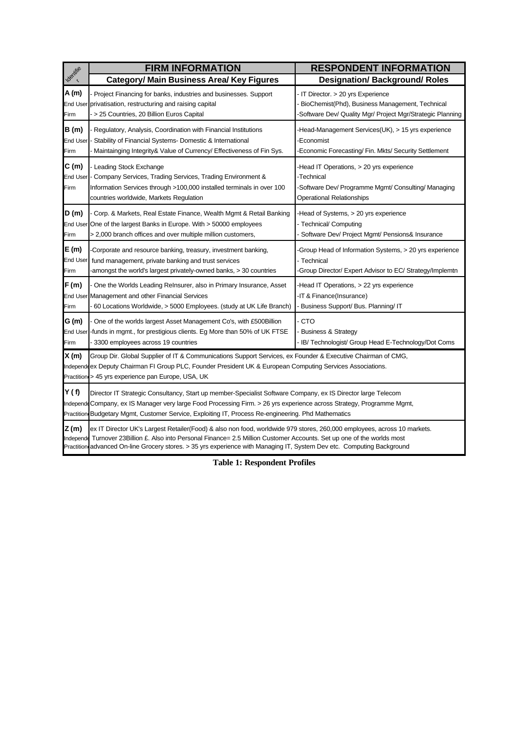|                                  | <b>FIRM INFORMATION</b>                                                                                                                                                                                                                                                                                                                                              | <b>RESPONDENT INFORMATION</b>                                                                                                                       |  |
|----------------------------------|----------------------------------------------------------------------------------------------------------------------------------------------------------------------------------------------------------------------------------------------------------------------------------------------------------------------------------------------------------------------|-----------------------------------------------------------------------------------------------------------------------------------------------------|--|
| Identifie                        | <b>Category/ Main Business Area/ Key Figures</b>                                                                                                                                                                                                                                                                                                                     | <b>Designation/ Background/ Roles</b>                                                                                                               |  |
| A (m)<br>Firm                    | Project Financing for banks, industries and businesses. Support<br>End User privatisation, restructuring and raising capital<br>> 25 Countries, 20 Billion Euros Capital                                                                                                                                                                                             | - IT Director. > 20 yrs Experience<br>BioChemist(Phd), Business Management, Technical<br>-Software Dev/ Quality Mgr/ Project Mgr/Strategic Planning |  |
| B(m)<br><b>End User</b><br>Firm  | Regulatory, Analysis, Coordination with Financial Institutions<br>Stability of Financial Systems- Domestic & International<br>Maintainging Integrity& Value of Currency/ Effectiveness of Fin Sys.                                                                                                                                                                   | -Head-Management Services(UK), > 15 yrs experience<br>Economist<br>Economic Forecasting/ Fin. Mkts/ Security Settlement                             |  |
| C(m)<br><b>End User</b><br>Firm  | Leading Stock Exchange<br>Company Services, Trading Services, Trading Environment &<br>Information Services through >100,000 installed terminals in over 100<br>countries worldwide, Markets Regulation                                                                                                                                                              | -Head IT Operations, > 20 yrs experience<br>-Technical<br>-Software Dev/ Programme Mgmt/ Consulting/ Managing<br><b>Operational Relationships</b>   |  |
| D(m)<br>Firm                     | Corp. & Markets, Real Estate Finance, Wealth Mgmt & Retail Banking<br>End User One of the largest Banks in Europe. With > 50000 employees<br>> 2,000 branch offices and over multiple million customers,                                                                                                                                                             | -Head of Systems, > 20 yrs experience<br>- Technical/ Computing<br>Software Dev/ Project Mgmt/ Pensions& Insurance                                  |  |
| E (m)<br><b>End User</b><br>Firm | Corporate and resource banking, treasury, investment banking,<br>fund management, private banking and trust services<br>amongst the world's largest privately-owned banks, > 30 countries                                                                                                                                                                            | -Group Head of Information Systems, > 20 yrs experience<br>- Technical<br>-Group Director/ Expert Advisor to EC/ Strategy/Implemtn                  |  |
| F(m)<br>Firm                     | One the Worlds Leading Relnsurer, also in Primary Insurance, Asset<br>End User Management and other Financial Services<br>60 Locations Worldwide, > 5000 Employees. (study at UK Life Branch)                                                                                                                                                                        | -Head IT Operations, > 22 yrs experience<br>-IT & Finance(Insurance)<br>- Business Support/ Bus. Planning/ IT                                       |  |
| G (m)<br>Firm                    | One of the worlds largest Asset Management Co's, with £500 Billion<br>End User -funds in mgmt., for prestigious clients. Eg More than 50% of UK FTSE<br>3300 employees across 19 countries                                                                                                                                                                           | - CTO<br><b>Business &amp; Strategy</b><br>- IB/ Technologist/ Group Head E-Technology/Dot Coms                                                     |  |
| X(m)                             | Group Dir. Global Supplier of IT & Communications Support Services, ex Founder & Executive Chairman of CMG,<br>Independeex Deputy Chairman FI Group PLC, Founder President UK & European Computing Services Associations.<br>Practitions > 45 yrs experience pan Europe, USA, UK                                                                                     |                                                                                                                                                     |  |
| Y(f)                             | Director IT Strategic Consultancy, Start up member-Specialist Software Company, ex IS Director large Telecom<br>IndependeCompany, ex IS Manager very large Food Processing Firm. > 26 yrs experience across Strategy, Programme Mgmt,<br>Practition Budgetary Mgmt, Customer Service, Exploiting IT, Process Re-engineering. Phd Mathematics                         |                                                                                                                                                     |  |
| Z(m)<br>Independe                | ex IT Director UK's Largest Retailer(Food) & also non food, worldwide 979 stores, 260,000 employees, across 10 markets.<br>Turnover 23 Billion £. Also into Personal Finance= 2.5 Million Customer Accounts. Set up one of the worlds most<br>Practition advanced On-line Grocery stores. > 35 yrs experience with Managing IT, System Dev etc. Computing Background |                                                                                                                                                     |  |

**Table 1: Respondent Profiles**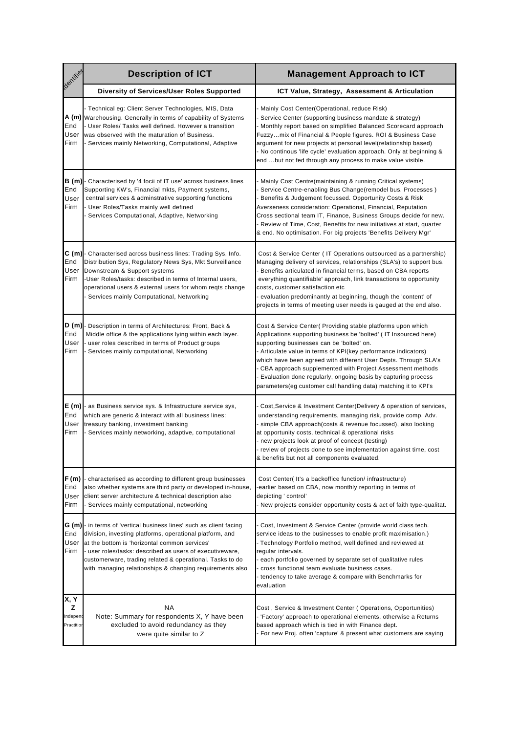| <b>Dentifield</b>                              | <b>Description of ICT</b>                                                                                                                                                                                                                                                                                                                                    | <b>Management Approach to ICT</b>                                                                                                                                                                                                                                                                                                                                                                                                                                                                                   |
|------------------------------------------------|--------------------------------------------------------------------------------------------------------------------------------------------------------------------------------------------------------------------------------------------------------------------------------------------------------------------------------------------------------------|---------------------------------------------------------------------------------------------------------------------------------------------------------------------------------------------------------------------------------------------------------------------------------------------------------------------------------------------------------------------------------------------------------------------------------------------------------------------------------------------------------------------|
|                                                | Diversity of Services/User Roles Supported                                                                                                                                                                                                                                                                                                                   | ICT Value, Strategy, Assessment & Articulation                                                                                                                                                                                                                                                                                                                                                                                                                                                                      |
| A (m) <br>End<br>User<br>Firm                  | Technical eg: Client Server Technologies, MIS, Data<br>Warehousing. Generally in terms of capability of Systems<br>User Roles/ Tasks well defined. However a transition<br>was observed with the maturation of Business.<br>Services mainly Networking, Computational, Adaptive                                                                              | Mainly Cost Center(Operational, reduce Risk)<br>Service Center (supporting business mandate & strategy)<br>Monthly report based on simplified Balanced Scorecard approach<br>Fuzzymix of Financial & People figures. ROI & Business Case<br>argument for new projects at personal level(relationship based)<br>- No continous 'life cycle' evaluation approach. Only at beginning &<br>end but not fed through any process to make value visible.                                                                   |
| B (m)<br>End<br>User<br>Firm                   | Characterised by '4 focii of IT use' across business lines<br>Supporting KW's, Financial mkts, Payment systems,<br>central services & adminstrative supporting functions<br>User Roles/Tasks mainly well defined<br>Services Computational, Adaptive, Networking                                                                                             | Mainly Cost Centre(maintaining & running Critical systems)<br>Service Centre-enabling Bus Change(remodel bus. Processes)<br>Benefits & Judgement focussed. Opportunity Costs & Risk<br>Averseness consideration: Operational, Financial, Reputation<br>Cross sectional team IT, Finance, Business Groups decide for new.<br>- Review of Time, Cost, Benefits for new initiatives at start, quarter<br>& end. No optimisation. For big projects 'Benefits Delivery Mgr'                                              |
| C(m)<br>End<br>User<br>Firm                    | Characterised across business lines: Trading Sys, Info.<br>Distribution Sys, Regulatory News Sys, Mkt Surveillance<br>Downstream & Support systems<br>User Roles/tasks: described in terms of Internal users,<br>operational users & external users for whom reqts change<br>Services mainly Computational, Networking                                       | Cost & Service Center (IT Operations outsourced as a partnership)<br>Managing delivery of services, relationships (SLA's) to support bus.<br>Benefits articulated in financial terms, based on CBA reports<br>everything quantifiable' approach, link transactions to opportunity<br>costs, customer satisfaction etc<br>evaluation predominantly at beginning, though the 'content' of<br>projects in terms of meeting user needs is gauged at the end also.                                                       |
| D (m)<br>End<br>User<br>Firm                   | Description in terms of Architectures: Front, Back &<br>Middle office & the applications lying within each layer.<br>user roles described in terms of Product groups<br>Services mainly computational, Networking                                                                                                                                            | Cost & Service Center( Providing stable platforms upon which<br>Applications supporting business be 'bolted' (IT Insourced here)<br>supporting businesses can be 'bolted' on.<br>- Articulate value in terms of KPI(key performance indicators)<br>which have been agreed with different User Depts. Through SLA's<br>CBA approach supplemented with Project Assessment methods<br>Evaluation done regularly, ongoing basis by capturing process<br>parameters(eg customer call handling data) matching it to KPI's |
| E (m)<br>End<br>User<br>Firm                   | as Business service sys. & Infrastructure service sys,<br>which are generic & interact with all business lines:<br>treasury banking, investment banking<br>Services mainly networking, adaptive, computational                                                                                                                                               | Cost, Service & Investment Center (Delivery & operation of services,<br>understanding requirements, managing risk, provide comp. Adv.<br>simple CBA approach(costs & revenue focussed), also looking<br>at opportunity costs, technical & operational risks<br>- new projects look at proof of concept (testing)<br>review of projects done to see implementation against time, cost<br>& benefits but not all components evaluated.                                                                                |
| F(m)<br>End<br>User<br>Firm                    | characterised as according to different group businesses<br>also whether systems are third party or developed in-house,<br>client server architecture & technical description also<br>Services mainly computational, networking                                                                                                                              | Cost Center(It's a backoffice function/infrastructure)<br>-earlier based on CBA, now monthly reporting in terms of<br>depicting ' control'<br>- New projects consider opportunity costs & act of faith type-qualitat.                                                                                                                                                                                                                                                                                               |
| G (m)<br>End<br>User<br>Firm                   | - in terms of 'vertical business lines' such as client facing<br>division, investing platforms, operational platform, and<br>at the bottom is 'horizontal common services'<br>user roles/tasks: described as users of executiveware,<br>customerware, trading related & operational. Tasks to do<br>with managing relationships & changing requirements also | Cost, Investment & Service Center (provide world class tech.<br>service ideas to the businesses to enable profit maximisation.)<br>- Technology Portfolio method, well defined and reviewed at<br>regular intervals.<br>each portfolio governed by separate set of qualitative rules<br>cross functional team evaluate business cases.<br>- tendency to take average & compare with Benchmarks for<br>evaluation                                                                                                    |
| X, Y<br>z<br>ndepend<br><sup>2</sup> ractition | ΝA<br>Note: Summary for respondents X, Y have been<br>excluded to avoid redundancy as they<br>were quite similar to Z                                                                                                                                                                                                                                        | Cost, Service & Investment Center (Operations, Opportunities)<br>- 'Factory' approach to operational elements, otherwise a Returns<br>based approach which is tied in with Finance dept.<br>For new Proj. often 'capture' & present what customers are saying                                                                                                                                                                                                                                                       |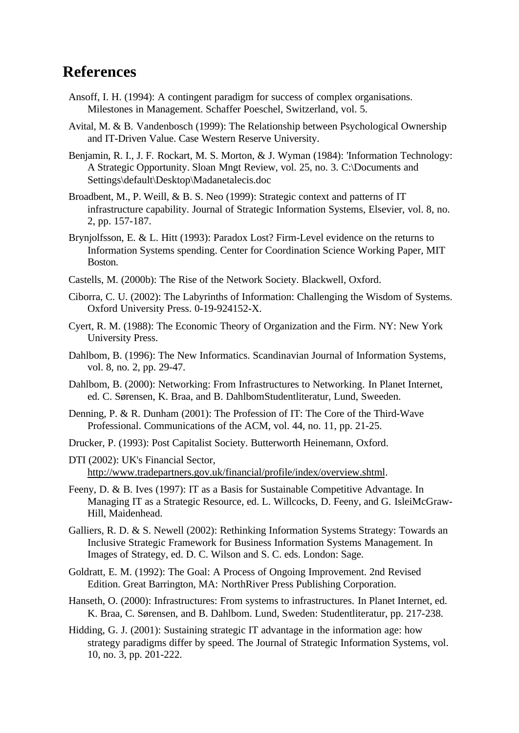## **References**

- Ansoff, I. H. (1994): A contingent paradigm for success of complex organisations. Milestones in Management. Schaffer Poeschel, Switzerland, vol. 5.
- Avital, M. & B. Vandenbosch (1999): The Relationship between Psychological Ownership and IT-Driven Value. Case Western Reserve University.
- Benjamin, R. I., J. F. Rockart, M. S. Morton, & J. Wyman (1984): 'Information Technology: A Strategic Opportunity. Sloan Mngt Review, vol. 25, no. 3. C:\Documents and Settings\default\Desktop\Madanetalecis.doc
- Broadbent, M., P. Weill, & B. S. Neo (1999): Strategic context and patterns of IT infrastructure capability. Journal of Strategic Information Systems, Elsevier, vol. 8, no. 2, pp. 157-187.
- Brynjolfsson, E. & L. Hitt (1993): Paradox Lost? Firm-Level evidence on the returns to Information Systems spending. Center for Coordination Science Working Paper, MIT Boston.
- Castells, M. (2000b): The Rise of the Network Society. Blackwell, Oxford.
- Ciborra, C. U. (2002): The Labyrinths of Information: Challenging the Wisdom of Systems. Oxford University Press. 0-19-924152-X.
- Cyert, R. M. (1988): The Economic Theory of Organization and the Firm. NY: New York University Press.
- Dahlbom, B. (1996): The New Informatics. Scandinavian Journal of Information Systems, vol. 8, no. 2, pp. 29-47.
- Dahlbom, B. (2000): Networking: From Infrastructures to Networking. In Planet Internet, ed. C. Sørensen, K. Braa, and B. DahlbomStudentliteratur, Lund, Sweeden.
- Denning, P. & R. Dunham (2001): The Profession of IT: The Core of the Third-Wave Professional. Communications of the ACM, vol. 44, no. 11, pp. 21-25.
- Drucker, P. (1993): Post Capitalist Society. Butterworth Heinemann, Oxford.
- DTI (2002): UK's Financial Sector, http://www.tradepartners.gov.uk/financial/profile/index/overview.shtml.
- Feeny, D. & B. Ives (1997): IT as a Basis for Sustainable Competitive Advantage. In Managing IT as a Strategic Resource, ed. L. Willcocks, D. Feeny, and G. IsleiMcGraw-Hill, Maidenhead.
- Galliers, R. D. & S. Newell (2002): Rethinking Information Systems Strategy: Towards an Inclusive Strategic Framework for Business Information Systems Management. In Images of Strategy, ed. D. C. Wilson and S. C. eds. London: Sage.
- Goldratt, E. M. (1992): The Goal: A Process of Ongoing Improvement. 2nd Revised Edition. Great Barrington, MA: NorthRiver Press Publishing Corporation.
- Hanseth, O. (2000): Infrastructures: From systems to infrastructures. In Planet Internet, ed. K. Braa, C. Sørensen, and B. Dahlbom. Lund, Sweden: Studentliteratur, pp. 217-238.
- Hidding, G. J. (2001): Sustaining strategic IT advantage in the information age: how strategy paradigms differ by speed. The Journal of Strategic Information Systems, vol. 10, no. 3, pp. 201-222.